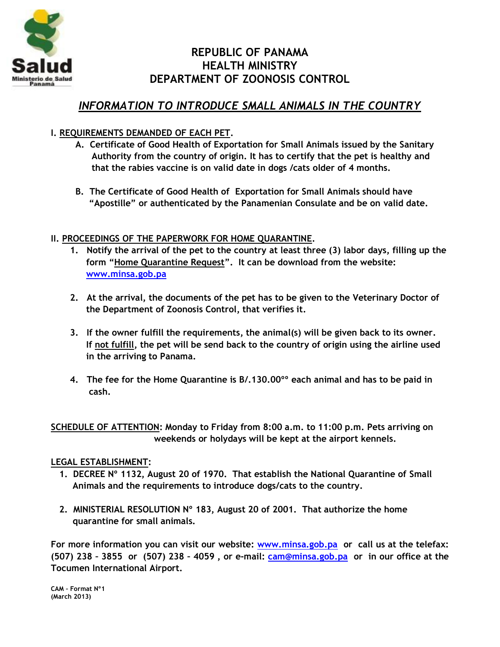

# **REPUBLIC OF PANAMA HEALTH MINISTRY DEPARTMENT OF ZOONOSIS CONTROL**

## *INFORMATION TO INTRODUCE SMALL ANIMALS IN THE COUNTRY*

### **I. REQUIREMENTS DEMANDED OF EACH PET.**

- **A. Certificate of Good Health of Exportation for Small Animals issued by the Sanitary Authority from the country of origin. It has to certify that the pet is healthy and that the rabies vaccine is on valid date in dogs /cats older of 4 months.**
- **B. The Certificate of Good Health of Exportation for Small Animals should have "Apostille" or authenticated by the Panamenian Consulate and be on valid date.**

### **II. PROCEEDINGS OF THE PAPERWORK FOR HOME QUARANTINE.**

- **1. Notify the arrival of the pet to the country at least three (3) labor days, filling up the form "Home Quarantine Request". It can be download from the website: [www.minsa.gob.pa](http://www.minsa.gob.pa/)**
- **2. At the arrival, the documents of the pet has to be given to the Veterinary Doctor of the Department of Zoonosis Control, that verifies it.**
- **3. If the owner fulfill the requirements, the animal(s) will be given back to its owner. If not fulfill, the pet will be send back to the country of origin using the airline used in the arriving to Panama.**
- **4. The fee for the Home Quarantine is B/.130.00ºº each animal and has to be paid in cash.**

**SCHEDULE OF ATTENTION: Monday to Friday from 8:00 a.m. to 11:00 p.m. Pets arriving on weekends or holydays will be kept at the airport kennels.**

#### **LEGAL ESTABLISHMENT:**

- **1. DECREE Nº 1132, August 20 of 1970. That establish the National Quarantine of Small Animals and the requirements to introduce dogs/cats to the country.**
- **2. MINISTERIAL RESOLUTION Nº 183, August 20 of 2001. That authorize the home quarantine for small animals.**

**For more information you can visit our website: [www.minsa.gob.pa](http://www.minsa.gob.pa/) or call us at the telefax: (507) 238 – 3855 or (507) 238 – 4059 , or e-mail: [cam@minsa.gob.pa](mailto:cam@minsa.gob.pa) or in our office at the Tocumen International Airport.** 

**CAM – Format Nº1 (March 2013)**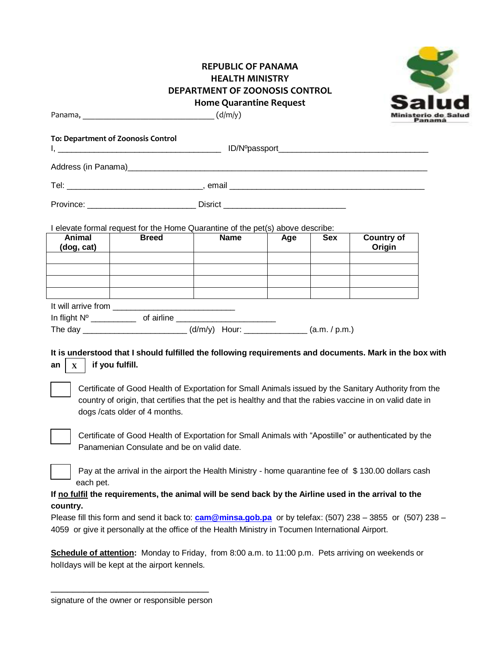#### **REPUBLIC OF PANAMA HEALTH MINISTRY DEPARTMENT OF ZOONOSIS CONTROL Home Quarantine Request**



Panama,  $\frac{1}{2}$  (d/m/y)

| To: Department of Zoonosis Control    |                                                                                 |                                                                                    |     |            |                                                                                                                                                                                                                    |
|---------------------------------------|---------------------------------------------------------------------------------|------------------------------------------------------------------------------------|-----|------------|--------------------------------------------------------------------------------------------------------------------------------------------------------------------------------------------------------------------|
|                                       |                                                                                 |                                                                                    |     |            |                                                                                                                                                                                                                    |
|                                       |                                                                                 |                                                                                    |     |            |                                                                                                                                                                                                                    |
|                                       |                                                                                 |                                                                                    |     |            |                                                                                                                                                                                                                    |
|                                       |                                                                                 | I elevate formal request for the Home Quarantine of the pet(s) above describe:     |     |            |                                                                                                                                                                                                                    |
| Animal<br>(dog, cat)                  | <b>Breed</b>                                                                    | <b>Name</b>                                                                        | Age | <b>Sex</b> | <b>Country of</b><br>Origin                                                                                                                                                                                        |
|                                       |                                                                                 |                                                                                    |     |            |                                                                                                                                                                                                                    |
|                                       |                                                                                 |                                                                                    |     |            |                                                                                                                                                                                                                    |
|                                       | the contract of the contract of the contract of the contract of the contract of |                                                                                    |     |            |                                                                                                                                                                                                                    |
|                                       |                                                                                 |                                                                                    |     |            |                                                                                                                                                                                                                    |
|                                       |                                                                                 | The day _____________________________(d/m/y) Hour: __________________(a.m. / p.m.) |     |            |                                                                                                                                                                                                                    |
| if you fulfill.<br>an<br>$\mathbf{X}$ |                                                                                 |                                                                                    |     |            | It is understood that I should fulfilled the following requirements and documents. Mark in the box with                                                                                                            |
|                                       | dogs /cats older of 4 months.                                                   |                                                                                    |     |            | Certificate of Good Health of Exportation for Small Animals issued by the Sanitary Authority from the<br>country of origin, that certifies that the pet is healthy and that the rabies vaccine in on valid date in |
|                                       | Panamenian Consulate and be on valid date.                                      |                                                                                    |     |            | Certificate of Good Health of Exportation for Small Animals with "Apostille" or authenticated by the                                                                                                               |
|                                       |                                                                                 |                                                                                    |     |            | Pay at the arrival in the airport the Health Ministry - home quarantine fee of \$130.00 dollars cash                                                                                                               |

 $^{\text{-}}$  each pet.

#### **If no fulfil the requirements, the animal will be send back by the Airline used in the arrival to the country.**

Please fill this form and send it back to: **[cam@minsa.gob.pa](mailto:cam@minsa.gob.pa)** or by telefax: (507) 238 – 3855 or (507) 238 – 4059 or give it personally at the office of the Health Ministry in Tocumen International Airport.

**Schedule of attention:** Monday to Friday, from 8:00 a.m. to 11:00 p.m. Pets arriving on weekends or holIdays will be kept at the airport kennels.